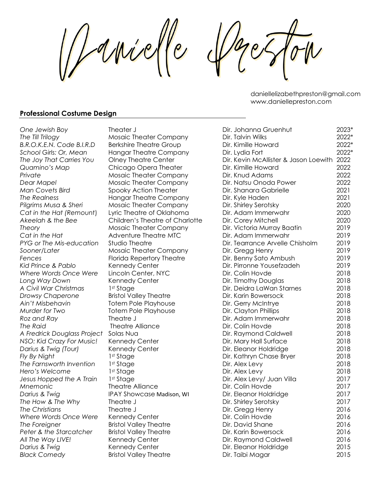duivel  $\overline{e}$ 

daniellelizabethpreston@gmail.com www.daniellepreston.com

#### **Professional Costume Design**

| One Jewish Boy              | Theater J                       | Dir. Johanna Gruenhut                      | 2023* |
|-----------------------------|---------------------------------|--------------------------------------------|-------|
| The Till Trilogy            | Mosaic Theater Company          | Dir. Talvin Wilks                          | 2022* |
| B.R.O.K.E.N. Code B.I.R.D   | <b>Berkshire Theatre Group</b>  | Dir. Kimille Howard                        | 2022* |
| School Girls: Or, Mean      | <b>Hangar Theatre Company</b>   | Dir. Lydia Fort                            | 2022* |
| The Joy That Carries You    | <b>Olney Theatre Center</b>     | Dir. Kevin McAllister & Jason Loewith 2022 |       |
| Quamino's Map               | Chicago Opera Theater           | Dir. Kimille Howard                        | 2022  |
| Private                     | <b>Mosaic Theater Company</b>   | Dir. Knud Adams                            | 2022  |
| Dear Mapel                  | <b>Mosaic Theater Company</b>   | Dir. Natsu Onoda Power                     | 2022  |
| Man Covets Bird             | Spooky Action Theater           | Dir. Shanara Gabrielle                     | 2021  |
| The Realness                | <b>Hangar Theatre Company</b>   | Dir. Kyle Haden                            | 2021  |
| Pilgrims Musa & Sheri       | <b>Mosaic Theater Company</b>   | Dir. Shirley Serotsky                      | 2020  |
| Cat in the Hat (Remount)    | Lyric Theatre of Oklahoma       | Dir. Adam Immerwahr                        | 2020  |
| Akeelah & the Bee           | Children's Theatre of Charlotte | Dir. Corey Mitchell                        | 2020  |
| Theory                      | Mosaic Theater Company          | Dir. Victoria Murray Baatin                | 2019  |
| Cat in the Hat              | Adventure Theatre MTC           | Dir. Adam Immerwahr                        | 2019  |
| PYG or The Mis-education    | <b>Studio Theatre</b>           | Dir. Tearrance Arvelle Chisholm            | 2019  |
| Sooner/Later                | Mosaic Theater Company          | Dir. Gregg Henry                           | 2019  |
| Fences                      | Florida Repertory Theatre       | Dir. Benny Sato Ambush                     | 2019  |
| Kid Prince & Pablo          | Kennedy Center                  | Dir. Pirronne Yousefzadeh                  | 2019  |
| Where Words Once Were       | Lincoln Center, NYC             | Dir. Colin Hovde                           | 2018  |
| Long Way Down               | Kennedy Center                  | Dir. Timothy Douglas                       | 2018  |
| A Civil War Christmas       | 1st Stage                       | Dir. Deidra LaWan Starnes                  | 2018  |
| Drowsy Chaperone            | <b>Bristol Valley Theatre</b>   | Dir. Karin Bowersock                       | 2018  |
| Ain't Misbehavin            | <b>Totem Pole Playhouse</b>     | Dir. Gerry McIntrye                        | 2018  |
| Murder for Two              | <b>Totem Pole Playhouse</b>     | Dir. Clayton Phillips                      | 2018  |
| Roz and Ray                 | Theatre J                       | Dir. Adam Immerwahr                        | 2018  |
| The Raid                    | <b>Theatre Alliance</b>         | Dir. Colin Hovde                           | 2018  |
| A Fredrick Douglass Project | Solas Nua                       | Dir. Raymond Caldwell                      | 2018  |
| NSO: Kid Crazy For Music!   | Kennedy Center                  | Dir, Mary Hall Surface                     | 2018  |
| Darius & Twig (Tour)        | Kennedy Center                  | Dir. Eleanor Holdridge                     | 2018  |
| Fly By Night                | 1st Stage                       | Dir. Kathryn Chase Bryer                   | 2018  |
| The Farnsworth Invention    | 1st Stage                       | Dir. Alex Levy                             | 2018  |
| Hero's Welcome              | 1st Stage                       | Dir. Alex Levy                             | 2018  |
| Jesus Hopped the A Train    | 1st Stage                       | Dir. Alex Levy/ Juan Villa                 | 2017  |
| Mnemonic                    | <b>Theatre Alliance</b>         | Dir. Colin Hovde                           | 2017  |
| Darius & Twig               | IPAY Showcase Madison, WI       | Dir. Eleanor Holdridge                     | 2017  |
| The How & The Why           | Theatre J                       | Dir. Shirley Serotsky                      | 2017  |
| The Christians              | Theatre J                       | Dir. Gregg Henry                           | 2016  |
| Where Words Once Were       | Kennedy Center                  | Dir. Colin Hovde                           | 2016  |
| The Foreigner               | <b>Bristol Valley Theatre</b>   | Dir. David Shane                           | 2016  |
| Peter & the Starcatcher     | <b>Bristol Valley Theatre</b>   | Dir. Karin Bowersock                       | 2016  |
| All The Way LIVE!           | Kennedy Center                  | Dir. Raymond Caldwell                      | 2016  |
| Darius & Twig               | Kennedy Center                  | Dir. Eleanor Holdridge                     | 2015  |
| <b>Black Comedy</b>         | <b>Bristol Valley Theatre</b>   | Dir. Taibi Magar                           | 2015  |
|                             |                                 |                                            |       |